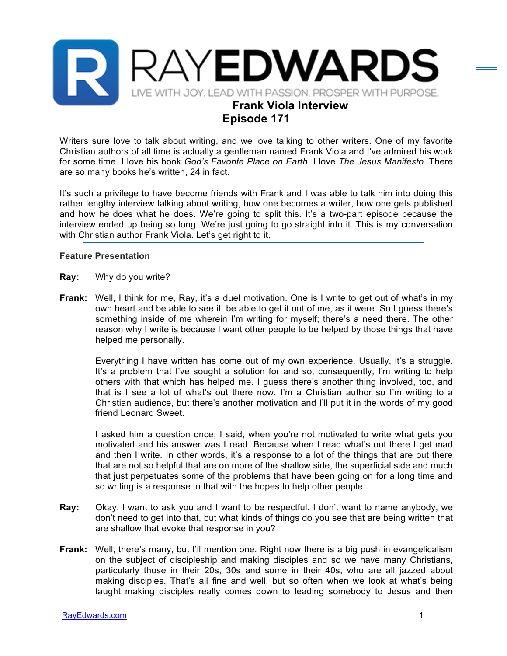

## **Episode 171**

Writers sure love to talk about writing, and we love talking to other writers. One of my favorite Christian authors of all time is actually a gentleman named Frank Viola and I've admired his work for some time. I love his book *God's Favorite Place on Earth*. I love *The Jesus Manifesto*. There are so many books he's written, 24 in fact.

It's such a privilege to have become friends with Frank and I was able to talk him into doing this rather lengthy interview talking about writing, how one becomes a writer, how one gets published and how he does what he does. We're going to split this. It's a two-part episode because the interview ended up being so long. We're just going to go straight into it. This is my conversation with Christian author Frank Viola. Let's get right to it.

## **Feature Presentation**

- **Ray:** Why do you write?
- **Frank:** Well, I think for me, Ray, it's a duel motivation. One is I write to get out of what's in my own heart and be able to see it, be able to get it out of me, as it were. So I guess there's something inside of me wherein I'm writing for myself; there's a need there. The other reason why I write is because I want other people to be helped by those things that have helped me personally.

Everything I have written has come out of my own experience. Usually, it's a struggle. It's a problem that I've sought a solution for and so, consequently, I'm writing to help others with that which has helped me. I guess there's another thing involved, too, and that is I see a lot of what's out there now. I'm a Christian author so I'm writing to a Christian audience, but there's another motivation and I'll put it in the words of my good friend Leonard Sweet.

I asked him a question once, I said, when you're not motivated to write what gets you motivated and his answer was I read. Because when I read what's out there I get mad and then I write. In other words, it's a response to a lot of the things that are out there that are not so helpful that are on more of the shallow side, the superficial side and much that just perpetuates some of the problems that have been going on for a long time and so writing is a response to that with the hopes to help other people.

- **Ray:** Okay. I want to ask you and I want to be respectful. I don't want to name anybody, we don't need to get into that, but what kinds of things do you see that are being written that are shallow that evoke that response in you?
- **Frank:** Well, there's many, but I'll mention one. Right now there is a big push in evangelicalism on the subject of discipleship and making disciples and so we have many Christians, particularly those in their 20s, 30s and some in their 40s, who are all jazzed about making disciples. That's all fine and well, but so often when we look at what's being taught making disciples really comes down to leading somebody to Jesus and then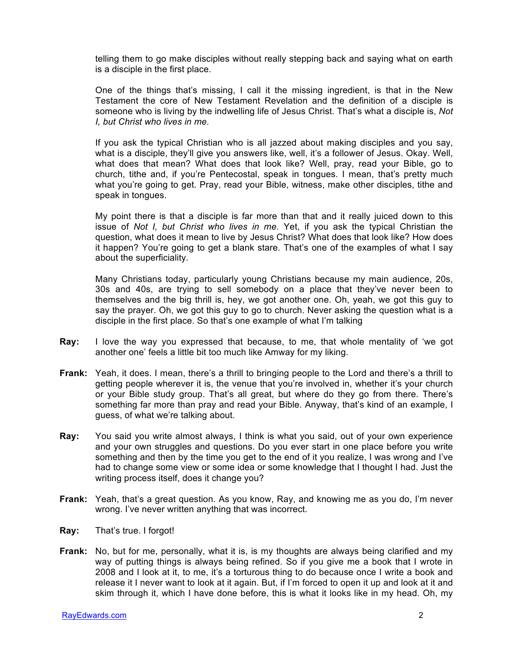telling them to go make disciples without really stepping back and saying what on earth is a disciple in the first place.

One of the things that's missing, I call it the missing ingredient, is that in the New Testament the core of New Testament Revelation and the definition of a disciple is someone who is living by the indwelling life of Jesus Christ. That's what a disciple is, *Not I, but Christ who lives in me.*

If you ask the typical Christian who is all jazzed about making disciples and you say, what is a disciple, they'll give you answers like, well, it's a follower of Jesus. Okay. Well, what does that mean? What does that look like? Well, pray, read your Bible, go to church, tithe and, if you're Pentecostal, speak in tongues. I mean, that's pretty much what you're going to get. Pray, read your Bible, witness, make other disciples, tithe and speak in tongues.

My point there is that a disciple is far more than that and it really juiced down to this issue of *Not I, but Christ who lives in me*. Yet, if you ask the typical Christian the question, what does it mean to live by Jesus Christ? What does that look like? How does it happen? You're going to get a blank stare. That's one of the examples of what I say about the superficiality.

Many Christians today, particularly young Christians because my main audience, 20s, 30s and 40s, are trying to sell somebody on a place that they've never been to themselves and the big thrill is, hey, we got another one. Oh, yeah, we got this guy to say the prayer. Oh, we got this guy to go to church. Never asking the question what is a disciple in the first place. So that's one example of what I'm talking

- **Ray:** I love the way you expressed that because, to me, that whole mentality of 'we got another one' feels a little bit too much like Amway for my liking.
- **Frank:** Yeah, it does. I mean, there's a thrill to bringing people to the Lord and there's a thrill to getting people wherever it is, the venue that you're involved in, whether it's your church or your Bible study group. That's all great, but where do they go from there. There's something far more than pray and read your Bible. Anyway, that's kind of an example, I guess, of what we're talking about.
- **Ray:** You said you write almost always, I think is what you said, out of your own experience and your own struggles and questions. Do you ever start in one place before you write something and then by the time you get to the end of it you realize, I was wrong and I've had to change some view or some idea or some knowledge that I thought I had. Just the writing process itself, does it change you?
- **Frank:** Yeah, that's a great question. As you know, Ray, and knowing me as you do, I'm never wrong. I've never written anything that was incorrect.
- **Ray:** That's true. I forgot!
- **Frank:** No, but for me, personally, what it is, is my thoughts are always being clarified and my way of putting things is always being refined. So if you give me a book that I wrote in 2008 and I look at it, to me, it's a torturous thing to do because once I write a book and release it I never want to look at it again. But, if I'm forced to open it up and look at it and skim through it, which I have done before, this is what it looks like in my head. Oh, my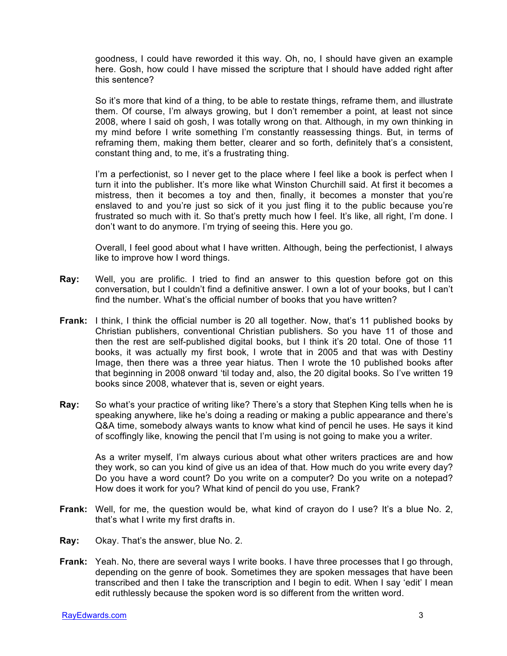goodness, I could have reworded it this way. Oh, no, I should have given an example here. Gosh, how could I have missed the scripture that I should have added right after this sentence?

So it's more that kind of a thing, to be able to restate things, reframe them, and illustrate them. Of course, I'm always growing, but I don't remember a point, at least not since 2008, where I said oh gosh, I was totally wrong on that. Although, in my own thinking in my mind before I write something I'm constantly reassessing things. But, in terms of reframing them, making them better, clearer and so forth, definitely that's a consistent, constant thing and, to me, it's a frustrating thing.

I'm a perfectionist, so I never get to the place where I feel like a book is perfect when I turn it into the publisher. It's more like what Winston Churchill said. At first it becomes a mistress, then it becomes a toy and then, finally, it becomes a monster that you're enslaved to and you're just so sick of it you just fling it to the public because you're frustrated so much with it. So that's pretty much how I feel. It's like, all right, I'm done. I don't want to do anymore. I'm trying of seeing this. Here you go.

Overall, I feel good about what I have written. Although, being the perfectionist, I always like to improve how I word things.

- **Ray:** Well, you are prolific. I tried to find an answer to this question before got on this conversation, but I couldn't find a definitive answer. I own a lot of your books, but I can't find the number. What's the official number of books that you have written?
- **Frank:** I think, I think the official number is 20 all together. Now, that's 11 published books by Christian publishers, conventional Christian publishers. So you have 11 of those and then the rest are self-published digital books, but I think it's 20 total. One of those 11 books, it was actually my first book, I wrote that in 2005 and that was with Destiny Image, then there was a three year hiatus. Then I wrote the 10 published books after that beginning in 2008 onward 'til today and, also, the 20 digital books. So I've written 19 books since 2008, whatever that is, seven or eight years.
- **Ray:** So what's your practice of writing like? There's a story that Stephen King tells when he is speaking anywhere, like he's doing a reading or making a public appearance and there's Q&A time, somebody always wants to know what kind of pencil he uses. He says it kind of scoffingly like, knowing the pencil that I'm using is not going to make you a writer.

As a writer myself, I'm always curious about what other writers practices are and how they work, so can you kind of give us an idea of that. How much do you write every day? Do you have a word count? Do you write on a computer? Do you write on a notepad? How does it work for you? What kind of pencil do you use, Frank?

- **Frank:** Well, for me, the question would be, what kind of crayon do I use? It's a blue No. 2, that's what I write my first drafts in.
- **Ray:** Okay. That's the answer, blue No. 2.
- **Frank:** Yeah. No, there are several ways I write books. I have three processes that I go through, depending on the genre of book. Sometimes they are spoken messages that have been transcribed and then I take the transcription and I begin to edit. When I say 'edit' I mean edit ruthlessly because the spoken word is so different from the written word.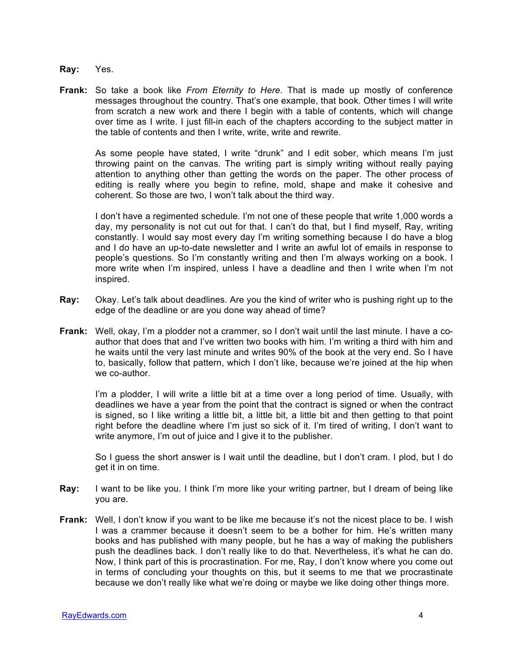- **Ray:** Yes.
- **Frank:** So take a book like *From Eternity to Here*. That is made up mostly of conference messages throughout the country. That's one example, that book. Other times I will write from scratch a new work and there I begin with a table of contents, which will change over time as I write. I just fill-in each of the chapters according to the subject matter in the table of contents and then I write, write, write and rewrite.

As some people have stated, I write "drunk" and I edit sober, which means I'm just throwing paint on the canvas. The writing part is simply writing without really paying attention to anything other than getting the words on the paper. The other process of editing is really where you begin to refine, mold, shape and make it cohesive and coherent. So those are two, I won't talk about the third way.

I don't have a regimented schedule. I'm not one of these people that write 1,000 words a day, my personality is not cut out for that. I can't do that, but I find myself, Ray, writing constantly. I would say most every day I'm writing something because I do have a blog and I do have an up-to-date newsletter and I write an awful lot of emails in response to people's questions. So I'm constantly writing and then I'm always working on a book. I more write when I'm inspired, unless I have a deadline and then I write when I'm not inspired.

- **Ray:** Okay. Let's talk about deadlines. Are you the kind of writer who is pushing right up to the edge of the deadline or are you done way ahead of time?
- **Frank:** Well, okay, I'm a plodder not a crammer, so I don't wait until the last minute. I have a coauthor that does that and I've written two books with him. I'm writing a third with him and he waits until the very last minute and writes 90% of the book at the very end. So I have to, basically, follow that pattern, which I don't like, because we're joined at the hip when we co-author.

I'm a plodder, I will write a little bit at a time over a long period of time. Usually, with deadlines we have a year from the point that the contract is signed or when the contract is signed, so I like writing a little bit, a little bit, a little bit and then getting to that point right before the deadline where I'm just so sick of it. I'm tired of writing, I don't want to write anymore, I'm out of juice and I give it to the publisher.

So I guess the short answer is I wait until the deadline, but I don't cram. I plod, but I do get it in on time.

- **Ray:** I want to be like you. I think I'm more like your writing partner, but I dream of being like you are.
- **Frank:** Well, I don't know if you want to be like me because it's not the nicest place to be. I wish I was a crammer because it doesn't seem to be a bother for him. He's written many books and has published with many people, but he has a way of making the publishers push the deadlines back. I don't really like to do that. Nevertheless, it's what he can do. Now, I think part of this is procrastination. For me, Ray, I don't know where you come out in terms of concluding your thoughts on this, but it seems to me that we procrastinate because we don't really like what we're doing or maybe we like doing other things more.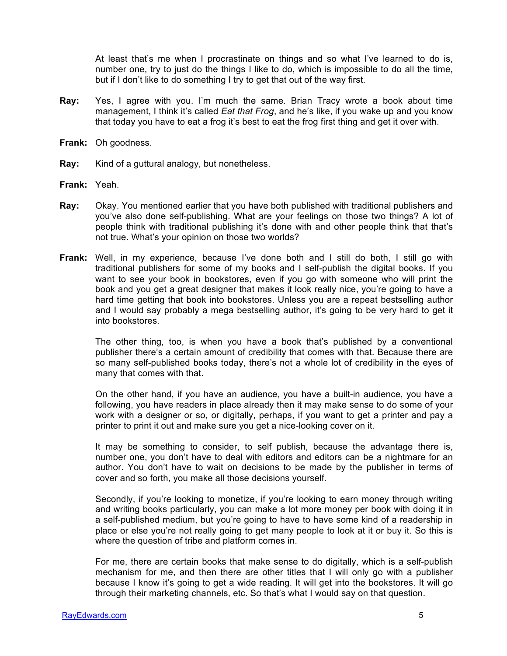At least that's me when I procrastinate on things and so what I've learned to do is, number one, try to just do the things I like to do, which is impossible to do all the time, but if I don't like to do something I try to get that out of the way first.

- **Ray:** Yes, I agree with you. I'm much the same. Brian Tracy wrote a book about time management, I think it's called *Eat that Frog*, and he's like, if you wake up and you know that today you have to eat a frog it's best to eat the frog first thing and get it over with.
- **Frank:** Oh goodness.
- **Ray:** Kind of a guttural analogy, but nonetheless.
- **Frank:** Yeah.
- **Ray:** Okay. You mentioned earlier that you have both published with traditional publishers and you've also done self-publishing. What are your feelings on those two things? A lot of people think with traditional publishing it's done with and other people think that that's not true. What's your opinion on those two worlds?
- **Frank:** Well, in my experience, because I've done both and I still do both, I still go with traditional publishers for some of my books and I self-publish the digital books. If you want to see your book in bookstores, even if you go with someone who will print the book and you get a great designer that makes it look really nice, you're going to have a hard time getting that book into bookstores. Unless you are a repeat bestselling author and I would say probably a mega bestselling author, it's going to be very hard to get it into bookstores.

The other thing, too, is when you have a book that's published by a conventional publisher there's a certain amount of credibility that comes with that. Because there are so many self-published books today, there's not a whole lot of credibility in the eyes of many that comes with that.

On the other hand, if you have an audience, you have a built-in audience, you have a following, you have readers in place already then it may make sense to do some of your work with a designer or so, or digitally, perhaps, if you want to get a printer and pay a printer to print it out and make sure you get a nice-looking cover on it.

It may be something to consider, to self publish, because the advantage there is, number one, you don't have to deal with editors and editors can be a nightmare for an author. You don't have to wait on decisions to be made by the publisher in terms of cover and so forth, you make all those decisions yourself.

Secondly, if you're looking to monetize, if you're looking to earn money through writing and writing books particularly, you can make a lot more money per book with doing it in a self-published medium, but you're going to have to have some kind of a readership in place or else you're not really going to get many people to look at it or buy it. So this is where the question of tribe and platform comes in.

For me, there are certain books that make sense to do digitally, which is a self-publish mechanism for me, and then there are other titles that I will only go with a publisher because I know it's going to get a wide reading. It will get into the bookstores. It will go through their marketing channels, etc. So that's what I would say on that question.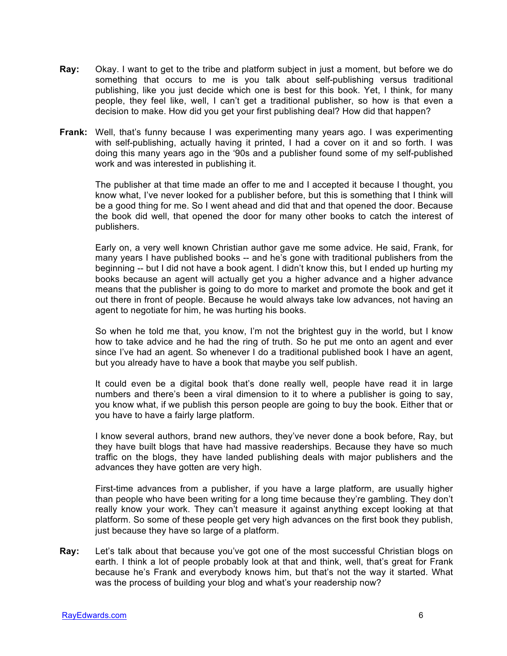- **Ray:** Okay. I want to get to the tribe and platform subject in just a moment, but before we do something that occurs to me is you talk about self-publishing versus traditional publishing, like you just decide which one is best for this book. Yet, I think, for many people, they feel like, well, I can't get a traditional publisher, so how is that even a decision to make. How did you get your first publishing deal? How did that happen?
- **Frank:** Well, that's funny because I was experimenting many years ago. I was experimenting with self-publishing, actually having it printed, I had a cover on it and so forth. I was doing this many years ago in the '90s and a publisher found some of my self-published work and was interested in publishing it.

The publisher at that time made an offer to me and I accepted it because I thought, you know what, I've never looked for a publisher before, but this is something that I think will be a good thing for me. So I went ahead and did that and that opened the door. Because the book did well, that opened the door for many other books to catch the interest of publishers.

Early on, a very well known Christian author gave me some advice. He said, Frank, for many years I have published books -- and he's gone with traditional publishers from the beginning -- but I did not have a book agent. I didn't know this, but I ended up hurting my books because an agent will actually get you a higher advance and a higher advance means that the publisher is going to do more to market and promote the book and get it out there in front of people. Because he would always take low advances, not having an agent to negotiate for him, he was hurting his books.

So when he told me that, you know, I'm not the brightest guy in the world, but I know how to take advice and he had the ring of truth. So he put me onto an agent and ever since I've had an agent. So whenever I do a traditional published book I have an agent, but you already have to have a book that maybe you self publish.

It could even be a digital book that's done really well, people have read it in large numbers and there's been a viral dimension to it to where a publisher is going to say, you know what, if we publish this person people are going to buy the book. Either that or you have to have a fairly large platform.

I know several authors, brand new authors, they've never done a book before, Ray, but they have built blogs that have had massive readerships. Because they have so much traffic on the blogs, they have landed publishing deals with major publishers and the advances they have gotten are very high.

First-time advances from a publisher, if you have a large platform, are usually higher than people who have been writing for a long time because they're gambling. They don't really know your work. They can't measure it against anything except looking at that platform. So some of these people get very high advances on the first book they publish, just because they have so large of a platform.

**Ray:** Let's talk about that because you've got one of the most successful Christian blogs on earth. I think a lot of people probably look at that and think, well, that's great for Frank because he's Frank and everybody knows him, but that's not the way it started. What was the process of building your blog and what's your readership now?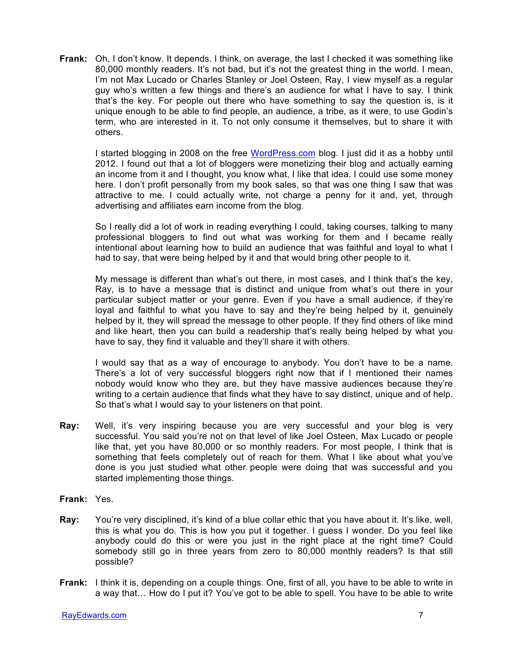**Frank:** Oh, I don't know. It depends. I think, on average, the last I checked it was something like 80,000 monthly readers. It's not bad, but it's not the greatest thing in the world. I mean, I'm not Max Lucado or Charles Stanley or Joel Osteen, Ray, I view myself as a regular guy who's written a few things and there's an audience for what I have to say. I think that's the key. For people out there who have something to say the question is, is it unique enough to be able to find people, an audience, a tribe, as it were, to use Godin's term, who are interested in it. To not only consume it themselves, but to share it with others.

I started blogging in 2008 on the free WordPress.com blog. I just did it as a hobby until 2012. I found out that a lot of bloggers were monetizing their blog and actually earning an income from it and I thought, you know what, I like that idea. I could use some money here. I don't profit personally from my book sales, so that was one thing I saw that was attractive to me. I could actually write, not charge a penny for it and, yet, through advertising and affiliates earn income from the blog.

So I really did a lot of work in reading everything I could, taking courses, talking to many professional bloggers to find out what was working for them and I became really intentional about learning how to build an audience that was faithful and loyal to what I had to say, that were being helped by it and that would bring other people to it.

My message is different than what's out there, in most cases, and I think that's the key, Ray, is to have a message that is distinct and unique from what's out there in your particular subject matter or your genre. Even if you have a small audience, if they're loyal and faithful to what you have to say and they're being helped by it, genuinely helped by it, they will spread the message to other people. If they find others of like mind and like heart, then you can build a readership that's really being helped by what you have to say, they find it valuable and they'll share it with others.

I would say that as a way of encourage to anybody. You don't have to be a name. There's a lot of very successful bloggers right now that if I mentioned their names nobody would know who they are, but they have massive audiences because they're writing to a certain audience that finds what they have to say distinct, unique and of help. So that's what I would say to your listeners on that point.

- **Ray:** Well, it's very inspiring because you are very successful and your blog is very successful. You said you're not on that level of like Joel Osteen, Max Lucado or people like that, yet you have 80,000 or so monthly readers. For most people, I think that is something that feels completely out of reach for them. What I like about what you've done is you just studied what other people were doing that was successful and you started implementing those things.
- **Frank:** Yes.
- **Ray:** You're very disciplined, it's kind of a blue collar ethic that you have about it. It's like, well, this is what you do. This is how you put it together. I guess I wonder. Do you feel like anybody could do this or were you just in the right place at the right time? Could somebody still go in three years from zero to 80,000 monthly readers? Is that still possible?
- **Frank:** I think it is, depending on a couple things. One, first of all, you have to be able to write in a way that… How do I put it? You've got to be able to spell. You have to be able to write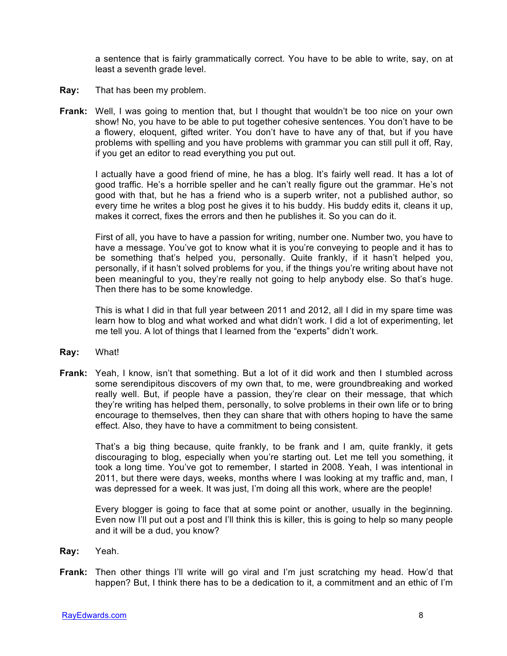a sentence that is fairly grammatically correct. You have to be able to write, say, on at least a seventh grade level.

- **Ray:** That has been my problem.
- **Frank:** Well, I was going to mention that, but I thought that wouldn't be too nice on your own show! No, you have to be able to put together cohesive sentences. You don't have to be a flowery, eloquent, gifted writer. You don't have to have any of that, but if you have problems with spelling and you have problems with grammar you can still pull it off, Ray, if you get an editor to read everything you put out.

I actually have a good friend of mine, he has a blog. It's fairly well read. It has a lot of good traffic. He's a horrible speller and he can't really figure out the grammar. He's not good with that, but he has a friend who is a superb writer, not a published author, so every time he writes a blog post he gives it to his buddy. His buddy edits it, cleans it up, makes it correct, fixes the errors and then he publishes it. So you can do it.

First of all, you have to have a passion for writing, number one. Number two, you have to have a message. You've got to know what it is you're conveying to people and it has to be something that's helped you, personally. Quite frankly, if it hasn't helped you, personally, if it hasn't solved problems for you, if the things you're writing about have not been meaningful to you, they're really not going to help anybody else. So that's huge. Then there has to be some knowledge.

This is what I did in that full year between 2011 and 2012, all I did in my spare time was learn how to blog and what worked and what didn't work. I did a lot of experimenting, let me tell you. A lot of things that I learned from the "experts" didn't work.

- **Ray:** What!
- **Frank:** Yeah, I know, isn't that something. But a lot of it did work and then I stumbled across some serendipitous discovers of my own that, to me, were groundbreaking and worked really well. But, if people have a passion, they're clear on their message, that which they're writing has helped them, personally, to solve problems in their own life or to bring encourage to themselves, then they can share that with others hoping to have the same effect. Also, they have to have a commitment to being consistent.

That's a big thing because, quite frankly, to be frank and I am, quite frankly, it gets discouraging to blog, especially when you're starting out. Let me tell you something, it took a long time. You've got to remember, I started in 2008. Yeah, I was intentional in 2011, but there were days, weeks, months where I was looking at my traffic and, man, I was depressed for a week. It was just, I'm doing all this work, where are the people!

Every blogger is going to face that at some point or another, usually in the beginning. Even now I'll put out a post and I'll think this is killer, this is going to help so many people and it will be a dud, you know?

- **Ray:** Yeah.
- **Frank:** Then other things I'll write will go viral and I'm just scratching my head. How'd that happen? But, I think there has to be a dedication to it, a commitment and an ethic of I'm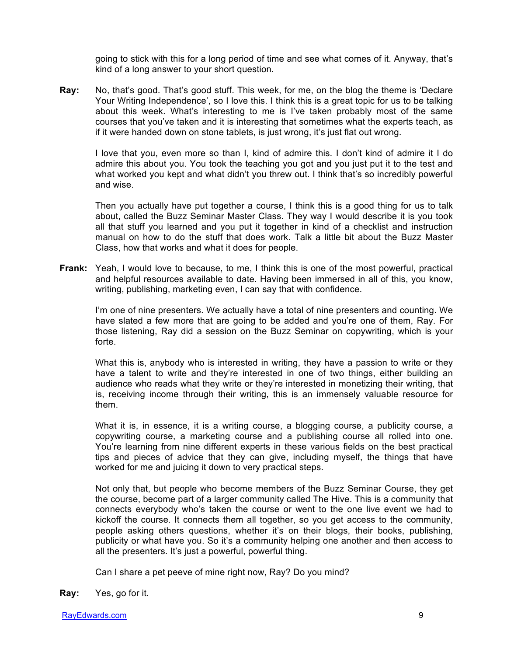going to stick with this for a long period of time and see what comes of it. Anyway, that's kind of a long answer to your short question.

**Ray:** No, that's good. That's good stuff. This week, for me, on the blog the theme is 'Declare Your Writing Independence', so I love this. I think this is a great topic for us to be talking about this week. What's interesting to me is I've taken probably most of the same courses that you've taken and it is interesting that sometimes what the experts teach, as if it were handed down on stone tablets, is just wrong, it's just flat out wrong.

I love that you, even more so than I, kind of admire this. I don't kind of admire it I do admire this about you. You took the teaching you got and you just put it to the test and what worked you kept and what didn't you threw out. I think that's so incredibly powerful and wise.

Then you actually have put together a course, I think this is a good thing for us to talk about, called the Buzz Seminar Master Class. They way I would describe it is you took all that stuff you learned and you put it together in kind of a checklist and instruction manual on how to do the stuff that does work. Talk a little bit about the Buzz Master Class, how that works and what it does for people.

**Frank:** Yeah, I would love to because, to me, I think this is one of the most powerful, practical and helpful resources available to date. Having been immersed in all of this, you know, writing, publishing, marketing even, I can say that with confidence.

I'm one of nine presenters. We actually have a total of nine presenters and counting. We have slated a few more that are going to be added and you're one of them, Ray. For those listening, Ray did a session on the Buzz Seminar on copywriting, which is your forte.

What this is, anybody who is interested in writing, they have a passion to write or they have a talent to write and they're interested in one of two things, either building an audience who reads what they write or they're interested in monetizing their writing, that is, receiving income through their writing, this is an immensely valuable resource for them.

What it is, in essence, it is a writing course, a blogging course, a publicity course, a copywriting course, a marketing course and a publishing course all rolled into one. You're learning from nine different experts in these various fields on the best practical tips and pieces of advice that they can give, including myself, the things that have worked for me and juicing it down to very practical steps.

Not only that, but people who become members of the Buzz Seminar Course, they get the course, become part of a larger community called The Hive. This is a community that connects everybody who's taken the course or went to the one live event we had to kickoff the course. It connects them all together, so you get access to the community, people asking others questions, whether it's on their blogs, their books, publishing, publicity or what have you. So it's a community helping one another and then access to all the presenters. It's just a powerful, powerful thing.

Can I share a pet peeve of mine right now, Ray? Do you mind?

**Ray:** Yes, go for it.

RayEdwards.com 9